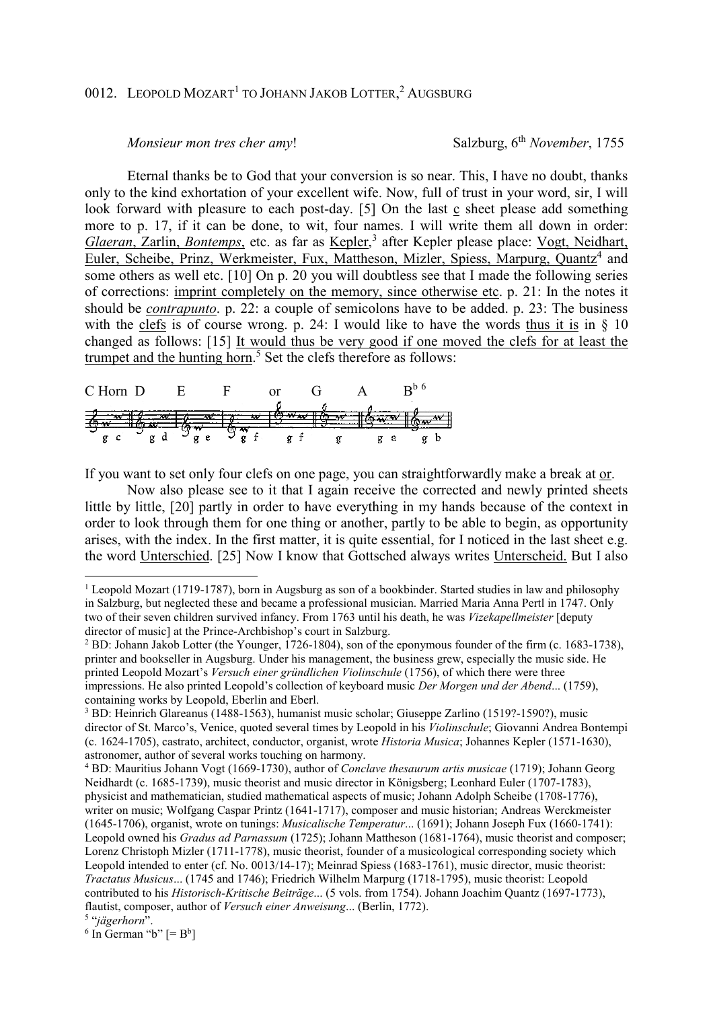## 0012. LEOPOLD MOZART<sup>1</sup> to JOHANN JAKOB LOTTER,<sup>2</sup> AUGSBURG

## *Monsieur mon tres cher amy!* Salzburg, 6<sup>th</sup> *November*, 1755

 Eternal thanks be to God that your conversion is so near. This, I have no doubt, thanks only to the kind exhortation of your excellent wife. Now, full of trust in your word, sir, I will look forward with pleasure to each post-day. [5] On the last c sheet please add something more to p. 17, if it can be done, to wit, four names. I will write them all down in order: Glaeran, Zarlin, Bontemps, etc. as far as Kepler,<sup>3</sup> after Kepler please place: Vogt, Neidhart, Euler, Scheibe, Prinz, Werkmeister, Fux, Mattheson, Mizler, Spiess, Marpurg, Quantz<sup>4</sup> and some others as well etc. [10] On p. 20 you will doubtless see that I made the following series of corrections: imprint completely on the memory, since otherwise etc. p. 21: In the notes it should be *contrapunto*. p. 22: a couple of semicolons have to be added. p. 23: The business with the clefs is of course wrong. p. 24: I would like to have the words thus it is in  $\S$  10 changed as follows: [15] It would thus be very good if one moved the clefs for at least the trumpet and the hunting horn.<sup>5</sup> Set the clefs therefore as follows:

| $\mathbf{C}$ Hc<br>nn. | . H. |  | . .      |   |  |
|------------------------|------|--|----------|---|--|
|                        |      |  |          |   |  |
|                        |      |  | $\alpha$ | а |  |

If you want to set only four clefs on one page, you can straightforwardly make a break at or.

 Now also please see to it that I again receive the corrected and newly printed sheets little by little, [20] partly in order to have everything in my hands because of the context in order to look through them for one thing or another, partly to be able to begin, as opportunity arises, with the index. In the first matter, it is quite essential, for I noticed in the last sheet e.g. the word Unterschied. [25] Now I know that Gottsched always writes Unterscheid. But I also

 $\overline{a}$ 

<sup>&</sup>lt;sup>1</sup> Leopold Mozart (1719-1787), born in Augsburg as son of a bookbinder. Started studies in law and philosophy in Salzburg, but neglected these and became a professional musician. Married Maria Anna Pertl in 1747. Only two of their seven children survived infancy. From 1763 until his death, he was *Vizekapellmeister* [deputy director of music] at the Prince-Archbishop's court in Salzburg.

<sup>&</sup>lt;sup>2</sup> BD: Johann Jakob Lotter (the Younger, 1726-1804), son of the eponymous founder of the firm (c. 1683-1738), printer and bookseller in Augsburg. Under his management, the business grew, especially the music side. He printed Leopold Mozart's *Versuch einer gründlichen Violinschule* (1756), of which there were three impressions. He also printed Leopold's collection of keyboard music *Der Morgen und der Abend*... (1759), containing works by Leopold, Eberlin and Eberl.

<sup>&</sup>lt;sup>3</sup> BD: Heinrich Glareanus (1488-1563), humanist music scholar; Giuseppe Zarlino (1519?-1590?), music director of St. Marco's, Venice, quoted several times by Leopold in his *Violinschule*; Giovanni Andrea Bontempi (c. 1624-1705), castrato, architect, conductor, organist, wrote *Historia Musica*; Johannes Kepler (1571-1630), astronomer, author of several works touching on harmony.

<sup>4</sup> BD: Mauritius Johann Vogt (1669-1730), author of *Conclave thesaurum artis musicae* (1719); Johann Georg Neidhardt (c. 1685-1739), music theorist and music director in Königsberg; Leonhard Euler (1707-1783), physicist and mathematician, studied mathematical aspects of music; Johann Adolph Scheibe (1708-1776), writer on music; Wolfgang Caspar Printz (1641-1717), composer and music historian; Andreas Werckmeister (1645-1706), organist, wrote on tunings: *Musicalische Temperatur*... (1691); Johann Joseph Fux (1660-1741): Leopold owned his *Gradus ad Parnassum* (1725); Johann Mattheson (1681-1764), music theorist and composer; Lorenz Christoph Mizler (1711-1778), music theorist, founder of a musicological corresponding society which Leopold intended to enter (cf. No. 0013/14-17); Meinrad Spiess (1683-1761), music director, music theorist: *Tractatus Musicus*... (1745 and 1746); Friedrich Wilhelm Marpurg (1718-1795), music theorist: Leopold contributed to his *Historisch-Kritische Beiträge*... (5 vols. from 1754). Johann Joachim Quantz (1697-1773), flautist, composer, author of *Versuch einer Anweisung*... (Berlin, 1772).

<sup>5</sup> "*jägerhorn*".

 $6$  In German "b"  $[=B^b]$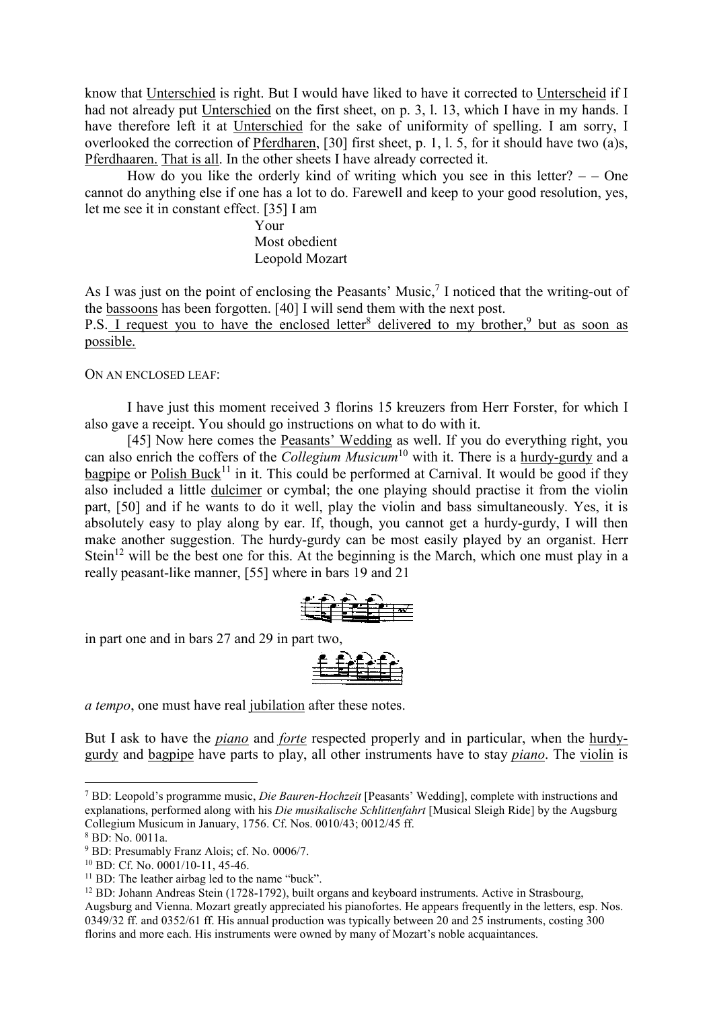know that Unterschied is right. But I would have liked to have it corrected to Unterscheid if I had not already put Unterschied on the first sheet, on p. 3, l. 13, which I have in my hands. I have therefore left it at Unterschied for the sake of uniformity of spelling. I am sorry, I overlooked the correction of Pferdharen, [30] first sheet, p. 1, l. 5, for it should have two (a)s, Pferdhaaren. That is all. In the other sheets I have already corrected it.

How do you like the orderly kind of writing which you see in this letter?  $-$  - One cannot do anything else if one has a lot to do. Farewell and keep to your good resolution, yes, let me see it in constant effect. [35] I am

> Your Most obedient Leopold Mozart

As I was just on the point of enclosing the Peasants' Music, $7$  I noticed that the writing-out of the bassoons has been forgotten. [40] I will send them with the next post.

P.S. I request you to have the enclosed letter<sup>8</sup> delivered to my brother,<sup>9</sup> but as soon as possible.

ON AN ENCLOSED LEAF:

 I have just this moment received 3 florins 15 kreuzers from Herr Forster, for which I also gave a receipt. You should go instructions on what to do with it.

 [45] Now here comes the Peasants' Wedding as well. If you do everything right, you can also enrich the coffers of the *Collegium Musicum*<sup>10</sup> with it. There is a hurdy-gurdy and a bagpipe or Polish Buck<sup>11</sup> in it. This could be performed at Carnival. It would be good if they also included a little dulcimer or cymbal; the one playing should practise it from the violin part, [50] and if he wants to do it well, play the violin and bass simultaneously. Yes, it is absolutely easy to play along by ear. If, though, you cannot get a hurdy-gurdy, I will then make another suggestion. The hurdy-gurdy can be most easily played by an organist. Herr Stein<sup>12</sup> will be the best one for this. At the beginning is the March, which one must play in a really peasant-like manner, [55] where in bars 19 and 21



in part one and in bars 27 and 29 in part two,



*a tempo*, one must have real jubilation after these notes.

But I ask to have the *piano* and *forte* respected properly and in particular, when the hurdygurdy and bagpipe have parts to play, all other instruments have to stay *piano*. The violin is

 $\overline{a}$ 

<sup>7</sup> BD: Leopold's programme music, *Die Bauren-Hochzeit* [Peasants' Wedding], complete with instructions and explanations, performed along with his *Die musikalische Schlittenfahrt* [Musical Sleigh Ride] by the Augsburg Collegium Musicum in January, 1756. Cf. Nos. 0010/43; 0012/45 ff.

<sup>8</sup> BD: No. 0011a.

<sup>9</sup> BD: Presumably Franz Alois; cf. No. 0006/7.

<sup>10</sup> BD: Cf. No. 0001/10-11, 45-46.

 $11$  BD: The leather airbag led to the name "buck".

<sup>12</sup> BD: Johann Andreas Stein (1728-1792), built organs and keyboard instruments. Active in Strasbourg, Augsburg and Vienna. Mozart greatly appreciated his pianofortes. He appears frequently in the letters, esp. Nos. 0349/32 ff. and 0352/61 ff. His annual production was typically between 20 and 25 instruments, costing 300 florins and more each. His instruments were owned by many of Mozart's noble acquaintances.